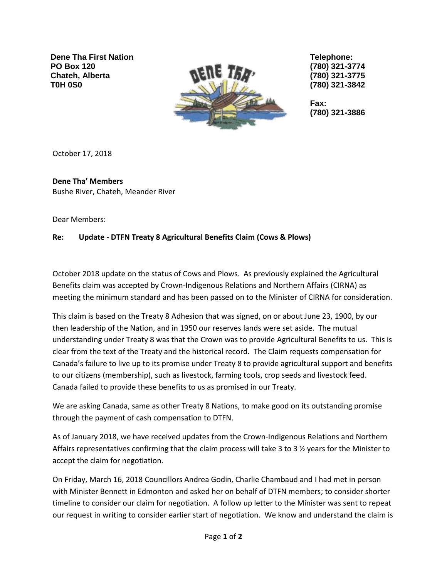**Dene Tha First Nation PO Box 120 Chateh, Alberta T0H 0S0**



**Telephone: (780) 321-3774 (780) 321-3775 (780) 321-3842**

**Fax: (780) 321-3886**

October 17, 2018

## **Dene Tha' Members** Bushe River, Chateh, Meander River

Dear Members:

## **Re: Update - DTFN Treaty 8 Agricultural Benefits Claim (Cows & Plows)**

October 2018 update on the status of Cows and Plows. As previously explained the Agricultural Benefits claim was accepted by Crown-Indigenous Relations and Northern Affairs (CIRNA) as meeting the minimum standard and has been passed on to the Minister of CIRNA for consideration.

This claim is based on the Treaty 8 Adhesion that was signed, on or about June 23, 1900, by our then leadership of the Nation, and in 1950 our reserves lands were set aside. The mutual understanding under Treaty 8 was that the Crown was to provide Agricultural Benefits to us. This is clear from the text of the Treaty and the historical record. The Claim requests compensation for Canada's failure to live up to its promise under Treaty 8 to provide agricultural support and benefits to our citizens (membership), such as livestock, farming tools, crop seeds and livestock feed. Canada failed to provide these benefits to us as promised in our Treaty.

We are asking Canada, same as other Treaty 8 Nations, to make good on its outstanding promise through the payment of cash compensation to DTFN.

As of January 2018, we have received updates from the Crown-Indigenous Relations and Northern Affairs representatives confirming that the claim process will take 3 to 3 ½ years for the Minister to accept the claim for negotiation.

On Friday, March 16, 2018 Councillors Andrea Godin, Charlie Chambaud and I had met in person with Minister Bennett in Edmonton and asked her on behalf of DTFN members; to consider shorter timeline to consider our claim for negotiation. A follow up letter to the Minister was sent to repeat our request in writing to consider earlier start of negotiation. We know and understand the claim is